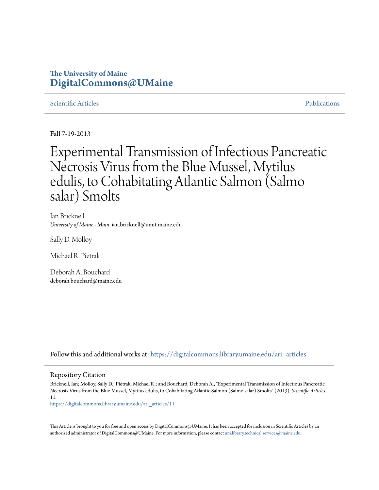# **The University of Maine [DigitalCommons@UMaine](https://digitalcommons.library.umaine.edu?utm_source=digitalcommons.library.umaine.edu%2Fari_articles%2F11&utm_medium=PDF&utm_campaign=PDFCoverPages)**

## [Scientific Articles](https://digitalcommons.library.umaine.edu/ari_articles?utm_source=digitalcommons.library.umaine.edu%2Fari_articles%2F11&utm_medium=PDF&utm_campaign=PDFCoverPages) [Publications](https://digitalcommons.library.umaine.edu/ari_publications?utm_source=digitalcommons.library.umaine.edu%2Fari_articles%2F11&utm_medium=PDF&utm_campaign=PDFCoverPages)

Fall 7-19-2013

# Experimental Transmission of Infectious Pancreatic Necrosis Virus from the Blue Mussel, Mytilus edulis, to Cohabitating Atlantic Salmon (Salmo salar) Smolts

Ian Bricknell *University of Maine - Main*, ian.bricknell@umit.maine.edu

Sally D. Molloy

Michael R. Pietrak

Deborah A. Bouchard deborah.bouchard@maine.edu

Follow this and additional works at: [https://digitalcommons.library.umaine.edu/ari\\_articles](https://digitalcommons.library.umaine.edu/ari_articles?utm_source=digitalcommons.library.umaine.edu%2Fari_articles%2F11&utm_medium=PDF&utm_campaign=PDFCoverPages)

## Repository Citation

Bricknell, Ian; Molloy, Sally D.; Pietrak, Michael R.; and Bouchard, Deborah A., "Experimental Transmission of Infectious Pancreatic Necrosis Virus from the Blue Mussel, Mytilus edulis, to Cohabitating Atlantic Salmon (Salmo salar) Smolts" (2013). *Scientific Articles*. 11.

[https://digitalcommons.library.umaine.edu/ari\\_articles/11](https://digitalcommons.library.umaine.edu/ari_articles/11?utm_source=digitalcommons.library.umaine.edu%2Fari_articles%2F11&utm_medium=PDF&utm_campaign=PDFCoverPages)

This Article is brought to you for free and open access by DigitalCommons@UMaine. It has been accepted for inclusion in Scientific Articles by an authorized administrator of DigitalCommons@UMaine. For more information, please contact [um.library.technical.services@maine.edu.](mailto:um.library.technical.services@maine.edu)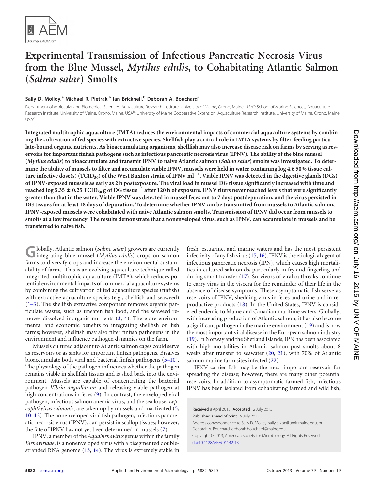

# **Experimental Transmission of Infectious Pancreatic Necrosis Virus from the Blue Mussel,** *Mytilus edulis***, to Cohabitating Atlantic Salmon (***Salmo salar***) Smolts**

## **Sally D. Molloy, <sup>a</sup> Michael R. Pietrak, <sup>b</sup> Ian Bricknell, <sup>b</sup> Deborah A. Bouchardc**

Department of Molecular and Biomedical Sciences, Aquaculture Research Institute, University of Maine, Orono, Maine, USA<sup>a</sup>; School of Marine Sciences, Aquaculture Research Institute, University of Maine, Orono, Maine, USA<sup>b</sup>; University of Maine Cooperative Extension, Aquaculture Research Institute, University of Maine, Orono, Maine, USA<sup>c</sup>

**Integrated multitrophic aquaculture (IMTA) reduces the environmental impacts of commercial aquaculture systems by combining the cultivation of fed species with extractive species. Shellfish play a critical role in IMTA systems by filter-feeding particulate-bound organic nutrients. As bioaccumulating organisms, shellfish may also increase disease risk on farms by serving as reservoirs for important finfish pathogens such as infectious pancreatic necrosis virus (IPNV). The ability of the blue mussel (***Mytilus edulis***) to bioaccumulate and transmit IPNV to naive Atlantic salmon (***Salmo salar***) smolts was investigated. To determine the ability of mussels to filter and accumulate viable IPNV, mussels were held in water containing log 4.6 50% tissue cul**ture infective dose(s) (TCID<sub>50</sub>) of the West Buxton strain of IPNV ml<sup>-1</sup>. Viable IPNV was detected in the digestive glands (DGs) **of IPNV-exposed mussels as early as 2 h postexposure. The viral load in mussel DG tissue significantly increased with time and** reached log 5.35  $\pm$  0.25 TCID<sub>50</sub> g of DG tissue<sup>-1</sup> after 120 h of exposure. IPNV titers never reached levels that were significantly **greater than that in the water. Viable IPNV was detected in mussel feces out to 7 days postdepuration, and the virus persisted in DG tissues for at least 18 days of depuration. To determine whether IPNV can be transmitted from mussels to Atlantic salmon, IPNV-exposed mussels were cohabitated with naive Atlantic salmon smolts. Transmission of IPNV did occur from mussels to smolts at a low frequency. The results demonstrate that a nonenveloped virus, such as IPNV, can accumulate in mussels and be transferred to naive fish.**

Globally, Atlantic salmon (*Salmo salar*) growers are currently integrating blue mussel (*Mytilus edulis*) crops on salmon farms to diversify crops and increase the environmental sustainability of farms. This is an evolving aquaculture technique called integrated multitrophic aquaculture (IMTA), which reduces potential environmental impacts of commercial aquaculture systems by combining the cultivation of fed aquaculture species (finfish) with extractive aquaculture species (e.g., shellfish and seaweed) [\(1](#page-8-0)[–](#page-9-0)[3\)](#page-9-1). The shellfish extractive component removes organic particulate wastes, such as uneaten fish food, and the seaweed removes dissolved inorganic nutrients  $(3, 4)$  $(3, 4)$  $(3, 4)$ . There are environmental and economic benefits to integrating shellfish on fish farms; however, shellfish may also filter finfish pathogens in the environment and influence pathogen dynamics on the farm.

Mussels cultured adjacent to Atlantic salmon cages could serve as reservoirs or as sinks for important finfish pathogens. Bivalves bioaccumulate both viral and bacterial finfish pathogens [\(5](#page-9-3)[–](#page-9-4)[10\)](#page-9-5). The physiology of the pathogen influences whether the pathogen remains viable in shellfish tissues and is shed back into the environment. Mussels are capable of concentrating the bacterial pathogen *Vibrio anguillarum* and releasing viable pathogen at high concentrations in feces [\(9\)](#page-9-4). In contrast, the enveloped viral pathogen, infectious salmon anemia virus, and the sea louse, *Lepeophtheirus salmonis*, are taken up by mussels and inactivated [\(5,](#page-9-3) [10](#page-9-5)[–](#page-9-6)[12\)](#page-9-7). The nonenveloped viral fish pathogen, infectious pancreatic necrosis virus (IPNV), can persist in scallop tissues; however, the fate of IPNV has not yet been determined in mussels [\(7\)](#page-9-8).

IPNV, a member of the *Aquabirnavirus* genus within the family *Birnaviridae*, is a nonenveloped virus with a bisegmented doublestranded RNA genome [\(13,](#page-9-9) [14\)](#page-9-10). The virus is extremely stable in

fresh, estuarine, and marine waters and has the most persistent infectivity of any fish virus [\(15,](#page-9-11) [16\)](#page-9-12). IPNV is the etiological agent of infectious pancreatic necrosis (IPN), which causes high mortalities in cultured salmonids, particularly in fry and fingerling and during smolt transfer [\(17\)](#page-9-13). Survivors of viral outbreaks continue to carry virus in the viscera for the remainder of their life in the absence of disease symptoms. These asymptomatic fish serve as reservoirs of IPNV, shedding virus in feces and urine and in reproductive products [\(18\)](#page-9-14). In the United States, IPNV is considered endemic to Maine and Canadian maritime waters. Globally, with increasing production of Atlantic salmon, it has also become a significant pathogen in the marine environment [\(19\)](#page-9-15) and is now the most important viral disease in the European salmon industry [\(19\)](#page-9-15). In Norway and the Shetland Islands, IPN has been associated with high mortalities in Atlantic salmon post-smolts about 8 weeks after transfer to seawater [\(20,](#page-9-16) [21\)](#page-9-17), with 70% of Atlantic salmon marine farm sites infected [\(22\)](#page-9-18).

IPNV carrier fish may be the most important reservoir for spreading the disease; however, there are many other potential reservoirs. In addition to asymptomatic farmed fish, infectious IPNV has been isolated from cohabitating farmed and wild fish,

Received 8 April 2013 Accepted 12 July 2013 Published ahead of print 19 July 2013 Address correspondence to Sally D. Molloy, sally.dixon@umit.maine.edu, or Deborah A. Bouchard, deborah.bouchard@maine.edu. Copyright © 2013, American Society for Microbiology. All Rights Reserved. [doi:10.1128/AEM.01142-13](http://dx.doi.org/10.1128/AEM.01142-13)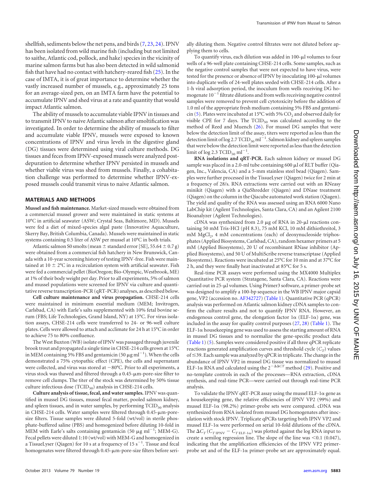shellfish, sediments below the net pens, and birds [\(7,](#page-9-8) [23,](#page-9-19) [24\)](#page-9-20). IPNV has been isolated from wild marine fish (including but not limited to saithe, Atlantic cod, pollock, and hake) species in the vicinity of marine salmon farms but has also been detected in wild salmonid fish that have had no contact with hatchery-reared fish [\(25\)](#page-9-21). In the case of IMTA, it is of great importance to determine whether the vastly increased number of mussels, e.g., approximately 25 tons for an average-sized pen, on an IMTA farm have the potential to accumulate IPNV and shed virus at a rate and quantity that would impact Atlantic salmon.

The ability of mussels to accumulate viable IPNV in tissues and to transmit IPNV to naive Atlantic salmon after smoltification was investigated. In order to determine the ability of mussels to filter and accumulate viable IPNV, mussels were exposed to known concentrations of IPNV and virus levels in the digestive gland (DG) tissues were determined using viral culture methods. DG tissues and feces from IPNV-exposed mussels were analyzed postdepuration to determine whether IPNV persisted in mussels and whether viable virus was shed from mussels. Finally, a cohabitation challenge was performed to determine whether IPNV-exposed mussels could transmit virus to naive Atlantic salmon.

#### **MATERIALS AND METHODS**

**Mussel and fish maintenance.** Market-sized mussels were obtained from a commercial mussel grower and were maintained in static systems at 10°C in artificial seawater (ASW; Crystal Seas, Baltimore, MD). Mussels were fed a diet of mixed-species algal paste (Innovative Aquaculture, Skerry Bay, British Columbia, Canada). Mussels were maintained in static systems containing 0.5 liter of ASW per mussel at 10°C in both trials.

Atlantic salmon S0 smolts (mean  $\pm$  standard error [SE], 55.64  $\pm$  0.7 g) were obtained from a commercial fish hatchery in New Brunswick, Canada with a 10-year screening history of testing IPNV-free. Fish were maintained at  $10 \pm 2^{\circ}$ C in a recirculation system with artificial seawater. Fish were fed a commercial pellet (BioOregon; Bio-Olympic, Westbrook, ME) at 1% of their body weight per day. Prior to all experiments, 5% of salmon and mussel populations were screened for IPNV via culture and quantitative reverse transcription-PCR (qRT-PCR) analyses, as described below.

**Cell culture maintenance and virus propagation.** CHSE-214 cells were maintained in minimum essential medium (MEM; Invitrogen, Carlsbad, CA) with Earle's salts supplemented with 10% fetal bovine serum (FBS; Life Technologies, Grand Island, NY) at 15°C. For virus isolation assays, CHSE-214 cells were transferred to 24- or 96-well culture plates. Cells were allowed to attach and acclimate for 24 h at 15°C in order to achieve 75 to 80% confluence.

The West Buxton (WB) isolate of IPNV was passaged through juvenile brook trout and propagated a single time in CHSE-214 cells grown at 15°C in MEM containing 5% FBS and gentamicin (50  $\mu$ g ml<sup>-1</sup>). When the cells demonstrated a 75% cytopathic effect (CPE), the cells and supernatant were collected, and virus was stored at  $-80^{\circ}$ C. Prior to all experiments, a virus stock was thawed and filtered through a 0.45-µm-pore-size filter to remove cell clumps. The titer of the stock was determined by 50% tissue culture infectious dose (TCID $_{50}$ ) analysis in CHSE-214 cells.

**Culture analysis of tissue, fecal, and water samples.** IPNV was quantified in mussel DG tissues, mussel fecal matter, pooled salmon kidney, and spleen tissues, and in water samples, by performing  $TCID_{50}$  analysis in CHSE-214 cells. Water samples were filtered through 0.45-µm-poresize filters. Tissue samples were diluted 5-fold (wt/vol) in sterile phosphate-buffered saline (PBS) and homogenized before diluting 10-fold in MEM with Earle's salts containing gentamicin (50  $\mu$ g ml<sup>-1</sup>; MEM-G). Fecal pellets were diluted 1:10 (wt/vol) with MEM-G and homogenized in a TissueLyser (Qiagen) for 10 s at a frequency of 15  $s^{-1}$ . Tissue and fecal homogenates were filtered through 0.45-µm-pore-size filters before serially diluting them. Negative control filtrates were not diluted before applying them to cells.

To quantify virus, each dilution was added in 100-µl volumes to four wells of a 96-well plate containing CHSE-214 cells. Some samples, such as the negative control samples that were not expected to have virus, were tested for the presence or absence of IPNV by inoculating 100-µl volumes into duplicate wells of 24-well plates seeded with CHSE-214 cells. After a 1-h viral adsorption period, the inoculum from wells receiving DG homogenate  $10^{-1}$  filtrate dilutions and from wells receiving negative control samples were removed to prevent cell cytotoxicity before the addition of 1.0 ml of the appropriate fresh medium containing 5% FBS and gentami-cin [\(5\)](#page-9-3). Plates were incubated at 15°C with 5%  $CO<sub>2</sub>$  and observed daily for visible CPE for 7 days. The  $TCID_{50}$  was calculated according to the method of Reed and Muench [\(26\)](#page-9-22). For mussel DG samples that were below the detection limit of the assay, titers were reported as less than the detection limit of log 2.7 TCID  $_{50}$  ml $^{-1}$ . Salmon kidney and spleen samples that were below the detection limit were reported as less than the detection limit of log 2.3 TCID<sub>50</sub> ml<sup>-1</sup>.

**RNA isolations and qRT-PCR.** Each salmon kidney or mussel DG sample was placed in a 2.0-ml tube containing 600  $\mu$ l of RLT buffer (Qiagen, Inc., Valencia, CA) and a 5-mm stainless steel bead (Qiagen). Samples were further processed in the TissueLyser (Qiagen) twice for 2 min at a frequency of 28/s. RNA extractions were carried out with an RNeasy minikit (Qiagen) with a QiaShredder (Qiagen) and DNase treatment (Qiagen) on the column in the Qiacube automated work station (Qiagen). The yield and quality of the RNA was assessed using an RNA 6000 Nano LabChip kit (Agilent Technologies, Santa Clara, CA) and an Agilent 2100 Bioanalyzer (Agilent Technologies).

cDNA was synthesized from 2.0  $\mu$ g of RNA in 20- $\mu$ l reactions containing 50 mM Tris-HCl (pH 8.3), 75 mM KCl, 10 mM dithiothreitol, 3 mM MgCl<sub>2</sub>, 4 mM concentrations (each) of deoxynucleoside triphosphates (Applied Biosystems, Carlsbad, CA), random hexamer primers at 5 mM (Applied Biosystems), 20 U of recombinant RNase inhibitor (Applied Biosystems), and 50 U of MultiScribe reverse transcriptase (Applied Biosystems). Reactions were incubated at 25°C for 10 min and at 37°C for 2 h, and they were finally heat inactivated at 85°C for 5 s.

Real-time PCR assays were performed using the MX4000 Multiplex Quantitative PCR system (Stratagene, Santa Clara, CA). Reactions were carried out in 25-µl volumes. Using Primer3 software, a primer-probe set was designed to amplify a 100-bp sequence in the WB IPNV major capsid gene, VP2 (accession no. [AF342727\)](http://www.ncbi.nlm.nih.gov/nuccore?term=AF342727) [\(Table 1\)](#page-3-0). Quantitative PCR (qPCR) analysis was performed on Atlantic salmon kidney cDNA samples to confirm the culture results and not to quantify IPNV RNA. However, an endogenous control gene, the elongation factor  $1\alpha$  (ELF-1 $\alpha$ ) gene, was included in the assay for quality control purposes [\(27,](#page-9-23) [28\)](#page-9-24) [\(Table 1\)](#page-3-0). The  $\text{ELF-1}\alpha$  housekeeping gene was used to assess the starting amount of RNA in mussel DG tissues and to normalize the gene-specific product data [\(Table 1\)](#page-3-0) [\(5\)](#page-9-3). Samples were considered positive if all three qPCR replicate reactions generated amplification curves and threshold cycle  $(C_T)$  values  $of \leq 39$ . Each sample was analyzed by qPCR in triplicate. The change in the abundance of IPNV VP2 in mussel DG tissue was normalized to mussel ELF-1 $\alpha$  RNA and calculated using the  $2^{-\Delta\Delta CT}$  method [\(29\)](#page-9-25). Positive and no-template controls in each of the processes—RNA extraction, cDNA synthesis, and real-time PCR—were carried out through real-time PCR analysis.

To validate the IPNV qRT-PCR assay using the mussel ELF-1 $\alpha$  gene as a housekeeping gene, the relative efficiencies of IPNV VP2 (99%) and mussel ELF-1 $\alpha$  (98.2%) primer-probe sets were compared. cDNA was synthesized from RNA isolated from mussel DG homogenates after inoculation with stock IPNV. Triplicate qPCRs targeting both IPNV VP2 and mussel ELF-1 $\alpha$  were performed on serial 10-fold dilutions of the cDNA. The  $\Delta C_T$  ( $C_{TIPNV}$  –  $C_{TELF-1\alpha}$ ) was plotted against the log RNA input to create a semilog regression line. The slope of the line was  $\leq 0.1$  (0.047), indicating that the amplification efficiencies of the IPNV VP2 primerprobe set and of the ELF-1 $\alpha$  primer-probe set are approximately equal.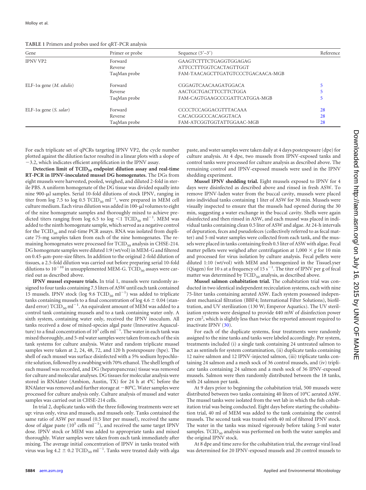<span id="page-3-0"></span>**TABLE 1** Primers and probes used for qRT-PCR analysis

| Gene                                     | Primer or probe | Sequence $(5'-3')$                | Reference |  |
|------------------------------------------|-----------------|-----------------------------------|-----------|--|
| <b>IPNV VP2</b>                          | Forward         | GAAGTCTTTCTGAGGTGGAGAG            |           |  |
|                                          | Reverse         | ATTCCTTTGGTCACTAGTTGGT            |           |  |
|                                          | TaqMan probe    | FAM-TAACAGCTTGATGTCCCTGACAACA-MGB |           |  |
| ELF-1 $\alpha$ gene ( <i>M. edulis</i> ) | Forward         | CGGAGTCAACAAGATGGACA              |           |  |
|                                          | Reverse         | AACTGCTGACTTCCTTCTGGA             |           |  |
|                                          | TaqMan probe    | FAM-CAGTGAAGCCCGATTCATGGA-MGB     |           |  |
| ELF-1 $\alpha$ gene ( <i>S. salar</i> )  | Forward         | CCCCTCCAGGACGTTTACAAA             | 28        |  |
|                                          | Reverse         | CACACGGCCCACAGGTACA               | 28        |  |
|                                          | TaqMan probe    | FAM-ATCGGTGGTATTGGAAC-MGB         | 28        |  |

For each triplicate set of qPCRs targeting IPNV VP2, the cycle number plotted against the dilution factor resulted in a linear plots with a slope of 3.2, which indicates efficient amplification in the IPNV assay.

Detection limit of TCID<sub>50</sub> endpoint dilution assay and real-time **RT-PCR in IPNV-inoculated mussel DG homogenates.** The DGs from eight mussels were harvested, pooled, weighed, and diluted 2-fold in sterile PBS. A uniform homogenate of the DG tissue was divided equally into nine 900-µl samples. Serial 10-fold dilutions of stock IPNV, ranging in titer from  $\log 7.5$  to  $\log 0.5$  TCID<sub>50</sub> ml<sup>-1</sup>, were prepared in MEM cell culture medium. Each virus dilution was added in 100--l volumes to eight of the nine homogenate samples and thoroughly mixed to achieve predicted titers ranging from log 6.5 to log <1 TCID<sub>50</sub> ml<sup>-1</sup>. MEM was added to the ninth homogenate sample, which served as a negative control for the  $TCID_{50}$  and real-time PCR assays. RNA was isolated from duplicate 75-mg samples taken from each of the nine homogenates. The remaining homogenates were processed for  $TCID_{50}$  analysis in CHSE-214. DG homogenate samples were diluted 1:9 (wt/vol) in MEM-G and filtered on 0.45-µm-pore-size filters. In addition to the original 2-fold dilution of tissues, a 2.5-fold dilution was carried out before preparing serial 10-fold dilutions to  $10^{-10}$  in unsupplemented MEM-G.  $\text{TCID}_{50}$  assays were carried out as described above.

**IPNV mussel exposure trials.** In trial 1, mussels were randomly assigned to four tanks containing 7.5 liters of ASW until each tank contained 15 mussels. IPNV stock (log  $9.6$  TCID<sub>50</sub> ml<sup>-1</sup>) was added to triplicate tanks containing mussels to a final concentration of  $log 4.6 \pm 0.04$  (standard error)  $\text{TCID}_{50}$  ml<sup>-1</sup>. An equivalent amount of MEM was added to a control tank containing mussels and to a tank containing water only. A sixth system, containing water only, received the IPNV inoculum. All tanks received a dose of mixed-species algal paste (Innovative Aquaculture) to a final concentration of  $10^5$  cells m $^{-1}$ . The water in each tank was mixed thoroughly, and 5-ml water samples were taken from each of the six tank systems for culture analysis. Water and random triplicate mussel samples were taken at 2, 24, 48, 72, and 120 h postexposure (hpe). The shell of each mussel was surface disinfected with a 5% sodium hypochlorite solution, followed by a swabbing with 70% ethanol. The shell length of each mussel was recorded, and DG (hepatopancreas) tissue was removed for culture and molecular analyses. DG tissues for molecular analysis were stored in RNAlater (Ambion, Austin, TX) for 24 h at 4°C before the RNAlater was removed and further storage at  $-80^{\circ}$ C. Water samples were processed for culture analysis only. Culture analysis of mussel and water samples was carried out in CHSE-214 cells.

In trial 2, duplicate tanks with the three following treatments were set up: virus only, virus and mussels, and mussels only. Tanks contained the same ratio of ASW per mussel (0.5 liter per mussel), received the same dose of algae paste  $(10^5 \text{ cells ml}^{-1})$ , and received the same target IPNV dose. IPNV stock or MEM was added to appropriate tanks and mixed thoroughly. Water samples were taken from each tank immediately after mixing. The average initial concentration of IPNV in tanks treated with virus was log 4.2  $\pm$  0.2 TCID<sub>50</sub> ml<sup>-1</sup>. Tanks were treated daily with alga

paste, and water samples were taken daily at 4 days postexposure (dpe) for culture analysis. At 4 dpe, two mussels from IPNV-exposed tanks and control tanks were processed for culture analysis as described above. The remaining control and IPNV-exposed mussels were used in the IPNV shedding experiment.

**Mussel IPNV shedding trial.** Eight mussels exposed to IPNV for 4 days were disinfected as described above and rinsed in fresh ASW. To remove IPNV-laden water from the buccal cavity, mussels were placed into individual tanks containing 1 liter of ASW for 30 min. Mussels were visually inspected to ensure that the mussels had opened during the 30 min, suggesting a water exchange in the buccal cavity. Shells were again disinfected and then rinsed in ASW, and each mussel was placed in individual tanks containing clean 0.5 liter of ASW and algae. At 24-h intervals of depuration, feces and pseudofeces (collectively referred to as fecal matter) and 5-ml water samples were collected from each tank, and the mussels were placed in tanks containing fresh 0.5 liter of ASW with algae. Fecal matter pellets were weighed after centrifugation at 1,000  $\times$   $g$  for 10 min and processed for virus isolation by culture analysis. Fecal pellets were diluted 1:10 (wt/vol) with MEM and homogenized in the TissueLyser (Qiagen) for 10 s at a frequency of 15  $s^{-1}$ . The titer of IPNV per g of fecal matter was determined by  $\text{TCID}_{50}$  analysis, as described above.

**Mussel salmon cohabitation trial.** The cohabitation trial was conducted in two identical independent recirculation systems, each with nine 75-liter tanks containing aerated ASW. Each system possessed independent mechanical filtration (BBF4; International Filter Solutions), biofiltration, and UV sterilization (130 W; Emperor Aquatics). The UV sterilization systems were designed to provide 440 mW of disinfection power per cm<sup>2</sup>, which is slightly less than twice the reported amount required to inactivate IPNV [\(30\)](#page-9-26).

For each of the duplicate systems, four treatments were randomly assigned to the nine tanks and tanks were labeled accordingly. Per system, treatments included (i) a single tank containing 24 untreated salmon to act as sentinels for system contamination, (ii) duplicate tanks containing 12 naive salmon and 12 IPNV-injected salmon, (iii) triplicate tanks containing 24 salmon and a mesh sock of 36 control mussels, and (iv) triplicate tanks containing 24 salmon and a mesh sock of 36 IPNV-exposed mussels. Salmon were then randomly distributed between the 18 tanks, with 24 salmon per tank.

At 9 days prior to beginning the cohabitation trial, 500 mussels were distributed between two tanks containing 40 liters of 10°C aerated ASW. The mussel tanks were isolated from the wet lab in which the fish cohabitation trial was being conducted. Eight days before starting the cohabitation trial, 40 ml of MEM was added to the tank containing the control mussels. The second tank was treated with 40 ml of filtered IPNV stock. The water in the tanks was mixed vigorously before taking 5-ml water samples.  $TCID_{50}$  analysis was performed on both the water samples and the original IPNV stock.

At 8 dpe and time zero for the cohabitation trial, the average viral load was determined for 20 IPNV-exposed mussels and 20 control mussels to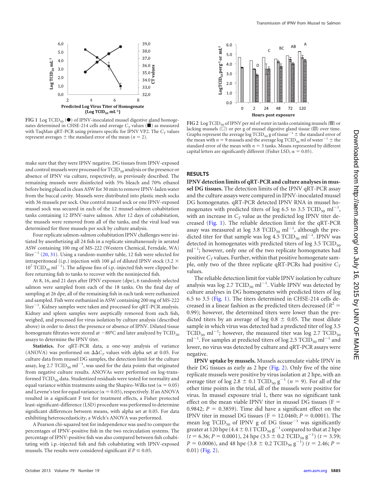

<span id="page-4-0"></span>**FIG 1** Log TCID<sub>50</sub> ( $\bullet$ ) of IPNV-inoculated mussel digestive gland homogenates determined in CHSE-214 cells and average  $C_T$  values ( $\blacksquare$ ) as measured with TaqMan qRT-PCR using primers specific for IPNV VP2. The  $C_T$  values represent averages  $\pm$  the standard error of the mean ( $n = 2$ ).

make sure that they were IPNV negative. DG tissues from IPNV-exposed and control mussels were processed for  $TCID_{50}$  analysis or the presence or absence of IPNV via culture, respectively, as previously described. The remaining mussels were disinfected with 5% bleach and 70% ethanol before being placed in clean ASW for 30 min to remove IPNV-laden water from the buccal cavity. Mussels were distributed into plastic mesh socks with 36 mussels per sock. One control mussel sock or one IPNV-exposed mussel sock was secured in each of the 12 mussel-salmon cohabitation tanks containing 12 IPNV-naive salmon. After 12 days of cohabitation, the mussels were removed from all of the tanks, and the viral load was determined for three mussels per sock by culture analysis.

Four replicate salmon-salmon cohabitation IPNV challenges were initiated by anesthetizing all 24 fish in a replicate simultaneously in aerated ASW containing 100 mg of MS-222 (Western Chemical, Ferndale, WA) liter<sup>-1</sup> [\(20,](#page-9-16) [31\)](#page-9-27). Using a random-number table, 12 fish were selected for intraperitoneal (i.p.) injection with 100  $\mu$ l of diluted IPNV stock (3.2  $\times$  $10^7$  TCID<sub>50</sub> ml<sup>-1</sup>). The adipose fins of i.p.-injected fish were clipped before returning fish to tanks to recover with the noninjected fish.

At 8, 16, and 21 days after IPNV exposure (dpe), 6 randomly selected salmon were sampled from each of the 18 tanks. On the final day of sampling at 26 dpe, all of the remaining fish in each tank were euthanized and sampled. Fish were euthanized in ASW containing 200 mg of MS-222 liter<sup>-1</sup>. Kidney samples were taken and processed for qRT-PCR analysis. Kidney and spleen samples were aseptically removed from each fish, weighed, and processed for virus isolation by culture analysis (described above) in order to detect the presence or absence of IPNV. Diluted tissue homogenate filtrates were stored at  $-80^{\circ}$ C and later analyzed by TCID<sub>50</sub> assays to determine the IPNV titer.

**Statistics.** For qRT-PCR data, a one-way analysis of variance (ANOVA) was performed on  $\Delta \Delta C_T$  values with alpha set at 0.05. For culture data from mussel DG samples, the detection limit for the culture assay, log 2.7  $\text{TCID}_{50}$  ml<sup>-1</sup>, was used for the data points that originated from negative culture results. ANOVAs were performed on log-transformed  $TCID_{50}$  data. Studentized residuals were tested for normality and equal variance within treatments using the Shapiro-Wilks test ( $\alpha = 0.05$ ) and Levene's test for equal variance ( $\alpha = 0.05$ ), respectively. If an ANOVA resulted in a significant F test for treatment effects, a Fisher protected least-significant-difference (LSD) procedure was performed to determine significant differences between means, with alpha set at 0.05. For data exhibiting heteroscedasticity, a Welch's ANOVA was performed.

A Pearson chi-squared test for independence was used to compare the percentages of IPNV-positive fish in the two recirculation systems. The percentage of IPNV-positive fish was also compared between fish cohabitating with i.p.-injected fish and fish cohabitating with IPNV-exposed mussels. The results were considered significant if  $P \leq 0.05$ .



<span id="page-4-1"></span>**FIG 2** Log TCID<sub>50</sub> of IPNV per ml of water in tanks containing mussels ( $\mathbb{W}$ ) or lacking mussels  $(\Box)$  or per g of mussel digestive gland tissue  $(\Box)$  over time. Graphs represent the average log TCID  $_{50}$  g of tissue  $^{-1}$   $\pm$  the standard error of the mean with  $n = 9$  mussels and the average log TCID<sub>50</sub> ml of water<sup>-1</sup>  $\pm$  the standard error of the mean with  $n = 3$  tanks. Means represented by different capital letters are significantly different (Fisher LSD,  $\alpha = 0.05$ ).

### **RESULTS**

**IPNV detection limits of qRT-PCR and culture analyses in mussel DG tissues.** The detection limits of the IPNV qRT-PCR assay and the culture assays were compared in IPNV-inoculated mussel DG homogenates. qRT-PCR detected IPNV RNA in mussel homogenates with predicted titers of log 6.5 to 3.5 TCID<sub>50</sub> ml<sup>-1</sup>, with an increase in  $C_T$  value as the predicted log IPNV titer decreased [\(Fig. 1\)](#page-4-0). The reliable detection limit for the qRT-PCR assay was measured at log 3.8  $TCID_{50}$  ml<sup>-1</sup>, although the predicted titer for that sample was  $log 4.5$  TCID<sub>50</sub> ml<sup>-1</sup>. IPNV was detected in homogenates with predicted titers of log  $3.5$  TCID<sub>50</sub> ml<sup>-1</sup>; however, only one of the two replicate homogenates had positive  $C_T$  values. Further, within that positive homogenate sample, only two of the three replicate qRT-PCRs had positive  $C_T$ values.

The reliable detection limit for viable IPNV isolation by culture analysis was log 2.7  $\text{TCID}_{50}$   $\text{ml}^{-1}$ . Viable IPNV was detected by culture analyses in DG homogenates with predicted titers of log 6.5 to 3.5 [\(Fig. 1\)](#page-4-0). The titers determined in CHSE-214 cells decreased in a linear fashion as the predicted titers decreased ( $R^2$  = 0.99); however, the determined titers were lower than the predicted titers by an average of log  $0.8 \pm 0.05$ . The most dilute sample in which virus was detected had a predicted titer of log 3.5  $TCID_{50}$  ml<sup>-1</sup>; however, the measured titer was log 2.7  $TCID_{50}$ ml<sup>-1</sup>. For samples at predicted titers of log 2.5  $\mathrm{TCID}_{50}$  ml<sup>-1</sup> and lower, no virus was detected by culture and qRT-PCR assays were negative.

**IPNV uptake by mussels.** Mussels accumulate viable IPNV in their DG tissues as early as 2 hpe [\(Fig. 2\)](#page-4-1). Only five of the nine replicate mussels were positive by virus isolation at 2 hpe, with an average titer of  $log 2.8 \pm 0.1$  TCID<sub>50</sub> g<sup>-1</sup> (*n* = 9). For all of the other time points in the trial, all of the mussels were positive for virus. In mussel exposure trial 1, there was no significant tank effect on the mean viable IPNV titer in mussel DG tissues (F  $=$ 0.9842;  $P = 0.3859$ ). Time did have a significant effect on the **IPNV** titer in mussel DG tissues ( $F = 12.0460; P = 0.0001$ ). The mean log TCID<sub>50</sub> of IPNV g of DG tissue<sup>-1</sup> was significantly greater at 120 hpe (4.4  $\pm$  0.1 TCID<sub>50</sub> g<sup>-1</sup> compared to that at 2 hpe  $(t = 6.36; P = 0.0001)$ , 24 hpe  $(3.5 \pm 0.2 \text{ TCID}_{50} \text{ g}^{-1})$   $(t = 3.59;$  $P = 0.0006$ ), and 48 hpe (3.8  $\pm$  0.2 TCID<sub>50</sub> g<sup>-1</sup>)</sub> ( $t = 2.46; P =$ 0.01) [\(Fig. 2\)](#page-4-1).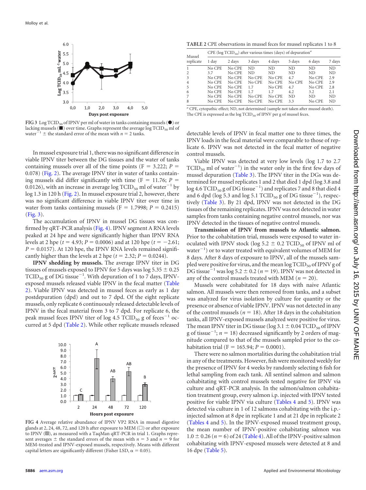

<span id="page-5-0"></span>**FIG 3** Log TCID<sub>50</sub> of IPNV per ml of water in tanks containing mussels ( $\bullet$ ) or lacking mussels ( $\blacksquare$ ) over time. Graphs represent the average log TCID  $_{50}$  ml of water<sup>-1</sup>  $\pm$  the standard error of the mean with *n* = 2 tanks.

In mussel exposure trial 1, there was no significant difference in viable IPNV titer between the DG tissues and the water of tanks containing mussels over all of the time points ( $F = 3.222$ ;  $P =$ 0.078) [\(Fig. 2\)](#page-4-1). The average IPNV titer in water of tanks containing mussels did differ significantly with time (F  $=$  11.76;  $P =$ 0.0126), with an increase in average log  $TCID_{50}$  ml of water<sup>-1</sup> by log 1.3 in 120 h [\(Fig. 2\)](#page-4-1). In mussel exposure trial 2, however, there was no significant difference in viable IPNV titer over time in water from tanks containing mussels ( $F = 1.7998$ ;  $P = 0.2415$ ) [\(Fig. 3\)](#page-5-0).

The accumulation of IPNV in mussel DG tissues was confirmed by qRT-PCR analysis [\(Fig. 4\)](#page-5-1). IPNV segment A RNA levels peaked at 24 hpe and were significantly higher than IPNV RNA levels at 2 hpe ( $t = 4.93$ ;  $P = 0.0006$ ) and at 120 hpe ( $t = -2.61$ ;  $P = 0.0157$ ). At 120 hpe, the IPNV RNA levels remained significantly higher than the levels at 2 hpe ( $t = 2.32$ ;  $P = 0.0244$ ).

**IPNV shedding by mussels.** The average IPNV titer in DG tissues of mussels exposed to IPNV for 5 days was log  $5.35 \pm 0.25$  $\text{TCID}_{50}$  g of DG tissue<sup>-1</sup>. With depuration of 1 to 7 days, IPNVexposed mussels released viable IPNV in the fecal matter [\(Table](#page-5-2) [2\)](#page-5-2). Viable IPNV was detected in mussel feces as early as 1 day postdepuration (dpd) and out to 7 dpd. Of the eight replicate mussels, only replicate 6 continuously released detectable levels of IPNV in the fecal material from 3 to 7 dpd. For replicate 6, the peak mussel feces IPNV titer of  $log 4.5$  TCID<sub>50</sub> g of feces<sup>-1</sup> occurred at 5 dpd [\(Table 2\)](#page-5-2). While other replicate mussels released



<span id="page-5-1"></span>**FIG 4** Average relative abundance of IPNV VP2 RNA in mussel digestive glands at 2, 24, 48, 72, and 120 h after exposure to MEM  $(\Box)$  or after exposure to IPNV (), as measured with a TaqMan qRT-PCR in trial 1. Graphs represent averages  $\pm$  the standard errors of the mean with  $n = 3$  and  $n = 9$  for MEM-treated and IPNV-exposed mussels, respectively. Means with different capital letters are significantly different (Fisher LSD,  $\alpha = 0.05$ ).

<span id="page-5-2"></span>**TABLE 2** CPE observations in mussel feces for mussel replicates 1 to 8

| Mussel    | CPE ( $log TCID_{50}$ ) after various times (days) of depuration <sup><i>a</i></sup> |        |        |        |        |        |        |  |  |  |
|-----------|--------------------------------------------------------------------------------------|--------|--------|--------|--------|--------|--------|--|--|--|
| replicate | 1 day                                                                                | 2 days | 3 days | 4 days | 5 days | 6 days | 7 days |  |  |  |
| 1         | No CPE                                                                               | No CPE | ND.    | ND.    | ND.    | ND.    | ND.    |  |  |  |
| 2         | 3.7                                                                                  | No CPE | ND.    | ND.    | ND.    | ND.    | ND.    |  |  |  |
| 3         | No CPE                                                                               | No CPE | No CPE | No CPE | 4.7    | No CPE | 2.9    |  |  |  |
| 4         | No CPE                                                                               | No CPE | No CPE | No CPE | No CPE | No CPE | 2.9    |  |  |  |
| 5.        | No CPE                                                                               | No CPE | 17     | No CPE | 4.7    | No CPE | 2.8    |  |  |  |
| 6         | No CPE                                                                               | No CPE | 17     | 17     | 4.2    | 3.2    | 2.1    |  |  |  |
| 7         | No CPE                                                                               | No CPE | No CPE | No CPE | ND.    | ND.    | ND.    |  |  |  |
| 8         | No CPE                                                                               | No CPE | No CPE | No CPE | 3.3    | No CPE | ND     |  |  |  |
|           |                                                                                      |        |        |        |        |        |        |  |  |  |

*<sup>a</sup>* CPE, cytopathic effect; ND, not determined (sample not taken after mussel death). The CPE is expressed as the  $log TCID_{50}$  of IPNV per g of mussel feces.

detectable levels of IPNV in fecal matter one to three times, the IPNV loads in the fecal material were comparable to those of replicate 6. IPNV was not detected in the fecal matter of negative control mussels.

Viable IPNV was detected at very low levels (log 1.7 to 2.7  $\text{TCID}_{50}$  ml of water<sup>-1</sup>) in the water only in the first few days of mussel depuration [\(Table 3\)](#page-6-0). The IPNV titer in the DGs was determined for mussel replicates 1 and 2 that died 1 dpd (log 3.8 and  $\log 4.6$  TCID<sub>50</sub> g of DG tissue $^{-1}$ ) and replicates 7 and 8 that died 4 and 6 dpd (log 5.3 and log 5.1  $TCID_{50}$  g of DG tissue<sup>-1</sup>), respectively [\(Table 3\)](#page-6-0). By 21 dpd, IPNV was not detected in the DG tissues of the remaining replicates. IPNV was not detected in water samples from tanks containing negative control mussels, nor was IPNV detected in the tissues of negative control mussels.

**Transmission of IPNV from mussels to Atlantic salmon.** Prior to the cohabitation trial, mussels were exposed to water inoculated with IPNV stock (log 5.2  $\pm$  0.2 TCID<sub>50</sub> of IPNV ml of  $\text{water}^{-1}$ ) or to water treated with equivalent volumes of MEM for 8 days. After 8 days of exposure to IPNV, all of the mussels sampled were positive for virus, and the mean  $\log TCID_{50}$  of IPNV g of DG tissue<sup>-1</sup> was  $\log 5.2 \pm 0.2$  ( $n = 19$ ). IPNV was not detected in any of the control mussels treated with MEM ( $n = 20$ ).

Mussels were cohabitated for 18 days with naive Atlantic salmon. All mussels were then removed from tanks, and a subset was analyzed for virus isolation by culture for quantity or the presence or absence of viable IPNV. IPNV was not detected in any of the control mussels ( $n = 18$ ). After 18 days in the cohabitation tanks, all IPNV-exposed mussels analyzed were positive for virus. The mean IPNV titer in DG tissue ( $log 3.1 \pm 0.04$  TCID<sub>50</sub> of IPNV g of tissue<sup> $-1$ </sup>;  $n = 18$ ) decreased significantly by 2 orders of magnitude compared to that of the mussels sampled prior to the cohabitation trial (F =  $165.94; P = 0.0001$ ).

There were no salmon mortalities during the cohabitation trial in any of the treatments. However, fish were monitored weekly for the presence of IPNV for 4 weeks by randomly selecting 6 fish for lethal sampling from each tank. All sentinel salmon and salmon cohabitating with control mussels tested negative for IPNV via culture and qRT-PCR analysis. In the salmon/salmon cohabitation treatment group, every salmon i.p. injected with IPNV tested positive for viable IPNV via culture [\(Tables 4](#page-6-1) and [5\)](#page-6-2). IPNV was detected via culture in 1 of 12 salmons cohabitating with the i.p. injected salmon at 8 dpe in replicate 1 and at 21 dpe in replicate 2 [\(Tables 4](#page-6-1) and [5\)](#page-6-2). In the IPNV-exposed mussel treatment group, the mean number of IPNV-positive cohabitating salmon was  $1.0 \pm 0.26$  ( $n = 6$ ) of 24 [\(Table 4\)](#page-6-1). All of the IPNV-positive salmon cohabitating with IPNV-exposed mussels were detected at 8 and 16 dpe [\(Table 5\)](#page-6-2).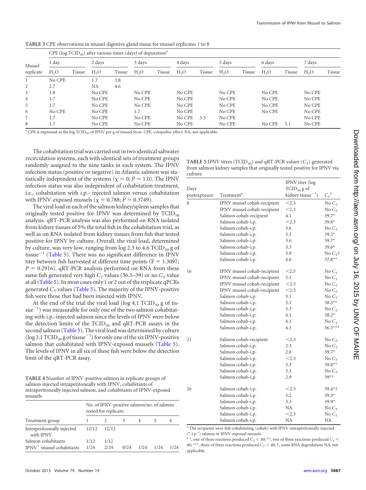|                     |                  |        | CPE ( $log TCID_{50}$ ) after various times (days) of depuration <sup><i>a</i></sup> |        |                  |        |                  |        |                  |        |                  |        |                  |        |
|---------------------|------------------|--------|--------------------------------------------------------------------------------------|--------|------------------|--------|------------------|--------|------------------|--------|------------------|--------|------------------|--------|
| Mussel<br>replicate | 1 day            |        | 2 days                                                                               |        | 3 days           |        | 4 days           |        | 5 days           |        | 6 days           |        | 7 days           |        |
|                     | H <sub>2</sub> O | Tissue | H <sub>2</sub> O                                                                     | Tissue | H <sub>2</sub> O | Tissue | H <sub>2</sub> O | Tissue | H <sub>2</sub> O | Tissue | H <sub>2</sub> O | Tissue | H <sub>2</sub> O | Tissue |
|                     | No CPE           |        | 1.7                                                                                  | 3.8    |                  |        |                  |        |                  |        |                  |        |                  |        |
| 2                   | 2.7              |        | <b>NA</b>                                                                            | 4.6    |                  |        |                  |        |                  |        |                  |        |                  |        |
| 3                   | 1.8              |        | No CPE                                                                               |        | No CPE           |        | No CPE           |        | No CPE           |        | No CPE           |        | No CPE           |        |
| $\overline{4}$      | 1.7              |        | No CPE                                                                               |        | No CPE           |        | No CPE           |        | No CPE           |        | No CPE           |        | No CPE           |        |
| 5                   | 1.7              |        | No CPE                                                                               |        | No CPE           |        | No CPE           |        | No CPE           |        | No CPE           |        | No CPE           |        |
| 6                   | No CPE           |        | No CPE                                                                               |        | 1.7              |        | No CPE           |        | No CPE           |        | No CPE           |        | No CPE           |        |
|                     | 1.7              |        | No CPE                                                                               |        | No CPE           |        | No CPE           | 5.3    | No CPE           |        |                  |        | No CPE           |        |
| 8                   | 1.7              |        | No CPE                                                                               |        | No CPE           |        | No CPE           |        | No CPE           |        | No CPE           | 5.1    | No CPE           |        |
|                     |                  |        |                                                                                      |        |                  |        |                  |        |                  |        |                  |        |                  |        |

<span id="page-6-0"></span>**TABLE 3** CPE observations in mussel digestive gland tissue for mussel replicates 1 to 8

*a* CPE is expressed as the log TCID<sub>50</sub> of IPNV per g of mussel feces. CPE, cytopathic effect; NA, not applicable.

The cohabitation trial was carried out in two identical saltwater recirculation systems, each with identical sets of treatment groups randomly assigned to the nine tanks in each system. The IPNV infection status (positive or negative) in Atlantic salmon was statistically independent of the systems ( $\chi = 0$ ;  $P = 1.0$ ). The IPNV infection status was also independent of cohabitation treatment, i.e., cohabitation with i.p.- injected salmon versus cohabitation with IPNV-exposed mussels ( $\chi = 0.788; P = 0.3749$ ).

The viral load in each of the salmon kidney/spleen samples that originally tested positive for IPNV was determined by  $TCID_{50}$ analysis. qRT-PCR analysis was also performed on RNA isolated from kidney tissues of 5% the total fish in the cohabitation trial, as well as on RNA isolated from kidney tissues from fish that tested positive for IPNV by culture. Overall, the viral load, determined by culture, was very low, ranging from  $log 2.3$  to 4.6 TCID<sub>50</sub> g of tissue<sup>-1</sup> [\(Table 5\)](#page-6-2). There was no significant difference in IPNV titer between fish harvested at different time points ( $F = 1.3097$ ;  $P = 0.2916$ . qRT-PCR analysis performed on RNA from these same fish generated very high  $C_T$  values (36.5–39) or no  $C_T$  value at all [\(Table 5\)](#page-6-2). In most cases only 1 or 2 out of the triplicate qPCRs generated  $C_T$  values [\(Table 5\)](#page-6-2). The majority of the IPNV-positive fish were those that had been injected with IPNV.

At the end of the trial the viral load (log 4.1  $TCID_{50}$  g of tis- $\text{Sue}^{-1}$ ) was measurable for only one of the two salmon cohabitating with i.p.-injected salmon since the levels of IPNV were below the detection limits of the  $TCID_{50}$  and qRT-PCR assays in the second salmon [\(Table 5\)](#page-6-2). The viral load was determined by culture  $(\log 3.1 \, \text{TCID}_{50} \, \text{g} \, \text{of tissue}^{-1})$  for only one of the six IPNV-positive salmon that cohabitated with IPNV-exposed mussels [\(Table 5\)](#page-6-2). The levels of IPNV in all six of these fish were below the detection limit of the qRT-PCR assay.

<span id="page-6-1"></span>**TABLE 4** Number of IPNV-positive salmon in replicate groups of salmon injected intraperitoneally with IPNV, cohabitants of intraperitoneally injected salmon, and cohabitants of IPNV-exposed mussels

|                                         | No. of IPNV-positive salmon/no. of salmon<br>tested for replicate: |       |      |      |      |      |  |  |
|-----------------------------------------|--------------------------------------------------------------------|-------|------|------|------|------|--|--|
| Treatment group                         |                                                                    |       | 3    |      | 5    | 6    |  |  |
| Intraperitoneally injected<br>with IPNV | 12/12                                                              | 12/12 |      |      |      |      |  |  |
| Salmon cohabitants                      | 1/12                                                               | 1/12  |      |      |      |      |  |  |
| $IPNV^+$ mussel cohabitants             | 1/24                                                               | 2/24  | 0/24 | 1/24 | 1/24 | 1/24 |  |  |

<span id="page-6-2"></span>

| <b>TABLE 5 IPNV titers (TCID</b> <sub>50</sub> ) and qRT-PCR values ( $C_T$ ) generated |
|-----------------------------------------------------------------------------------------|
| from salmon kidney samples that originally tested positive for IPNV via                 |
| culture                                                                                 |

|              |                                                                                                 | IPNV titer (log                            |             |
|--------------|-------------------------------------------------------------------------------------------------|--------------------------------------------|-------------|
| Days         |                                                                                                 | $TCID_{50}$ g of                           |             |
| postexposure | Treatment <sup>a</sup>                                                                          | kidney tissue <sup><math>-1</math></sup> ) | $C_T^{\ b}$ |
| 8            | IPNV mussel cohab-recipient                                                                     | < 2.3                                      | No $C_T$    |
|              | IPNV mussel cohab-recipient                                                                     | < 2.3                                      | No $C_T$    |
|              | Salmon cohab-recipient                                                                          | 4.1                                        | $39.7*$     |
|              | Salmon cohab-i.p.                                                                               | < 2.3                                      | $39.8*$     |
|              | Salmon cohab-i.p.                                                                               | 3.6                                        | No $C_T$    |
|              | Salmon cohab-i.p.                                                                               | 3.3                                        | $39.5*$     |
|              | Salmon cohab-i.p.                                                                               | 3.6                                        | $39.7*$     |
|              | Salmon cohab-i.p.                                                                               | 3.3                                        | $39.6*$     |
|              | Salmon cohab-i.p.                                                                               | 3.9                                        | No $C_T$ †  |
|              | Salmon cohab-i.p.                                                                               | 4.6                                        | $37.8**$    |
| 16           | IPNV mussel cohab-recipient                                                                     | < 2.3                                      | No $C_T$    |
|              | IPNV mussel cohab-recipient                                                                     | 3.1                                        | No $C_T$    |
|              | IPNV mussel cohab-recipient                                                                     | < 2.3                                      | No $C_T$    |
|              | IPNV mussel cohab-recipient                                                                     | < 2.3                                      | No $C_T$    |
|              | Salmon cohab-i.p.                                                                               | 3.1                                        | No $C_T$    |
|              | Salmon cohab-i.p.                                                                               | 3.1                                        | $38.5**$    |
|              | Salmon cohab-i.p.                                                                               | 3.3                                        | No $C_T$    |
|              | Salmon cohab-i.p.                                                                               | 4.1                                        | $38.2*$     |
|              | Salmon cohab-i.p.                                                                               | 4.1                                        | No $C_T$    |
|              | Salmon cohab-i.p.                                                                               | 4.3                                        | $36.5***$   |
| 21           | Salmon cohab-recipient                                                                          | < 2.3                                      | No $C_T$    |
|              | Salmon cohab-i.p.                                                                               | 2.3                                        | No $C_T$    |
|              | Salmon cohab-i.p.                                                                               | 2.8                                        | $39.7*$     |
|              | Salmon cohab-i.p.                                                                               | < 2.3                                      | No $C_T$    |
|              | Salmon cohab-i.p.                                                                               | 3.3                                        | $39.8**$    |
|              | Salmon cohab-i.p.                                                                               | 3.3                                        | No $C_T$    |
|              | Salmon cohab-i.p.                                                                               | 2.9                                        | $39**$      |
| 26           | Salmon cohab-i.p.                                                                               | < 2.3                                      | 39.4*†      |
|              | Salmon cohab-i.p.                                                                               | 3.2                                        | $39.3*$     |
|              | Salmon cohab-i.p.                                                                               | 3.3                                        | $39.9*$     |
|              | Salmon cohab-i.p.                                                                               | <b>NA</b>                                  | No $C_T$    |
|              | Salmon cohab-i.p.                                                                               | < 2.3                                      | No $C_T$    |
|              | Salmon cohab-i.p.                                                                               | NA                                         | NA          |
|              | <sup>a</sup> The recipients were fish cohabitating (cohab) with IPNV-intraperitoneally injected |                                            |             |

("-i.p.") salmon or IPNV-exposed mussels.

 $b^*$ , one of three reactions produced  $C_T < 40$ ; \*\*, two of three reactions produced  $C_T < b$ 40; \*\*\*, three of three reactions produced  $C_T < 40$ ; †, some RNA degradation; NA, not applicable.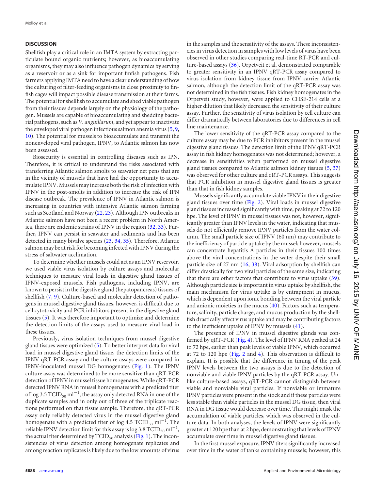### **DISCUSSION**

Shellfish play a critical role in an IMTA system by extracting particulate bound organic nutrients; however, as bioaccumulating organisms, they may also influence pathogen dynamics by serving as a reservoir or as a sink for important finfish pathogens. Fish farmers applying IMTA need to have a clear understanding of how the culturing of filter-feeding organisms in close proximity to finfish cages will impact possible disease transmission at their farms. The potential for shellfish to accumulate and shed viable pathogen from their tissues depends largely on the physiology of the pathogen. Mussels are capable of bioaccumulating and shedding bacterial pathogens, such as*V. anguillarum*, and yet appear to inactivate the enveloped viral pathogen infectious salmon anemia virus [\(5,](#page-9-3) [9,](#page-9-4) [10\)](#page-9-5). The potential for mussels to bioaccumulate and transmit the nonenveloped viral pathogen, IPNV, to Atlantic salmon has now been assessed.

Biosecurity is essential in controlling diseases such as IPN. Therefore, it is critical to understand the risks associated with transferring Atlantic salmon smolts to seawater net pens that are in the vicinity of mussels that have had the opportunity to accumulate IPNV. Mussels may increase both the risk of infection with IPNV in the post-smolts in addition to increase the risk of IPN disease outbreak. The prevalence of IPNV in Atlantic salmon is increasing in countries with intensive Atlantic salmon farming such as Scotland and Norway [\(22,](#page-9-18) [23\)](#page-9-19). Although IPN outbreaks in Atlantic salmon have not been a recent problem in North America, there are endemic strains of IPNV in the region [\(32,](#page-9-28) [33\)](#page-9-29). Further, IPNV can persist in seawater and sediments and has been detected in many bivalve species [\(23,](#page-9-19) [34,](#page-9-30) [35\)](#page-9-31). Therefore, Atlantic salmon may be at risk for becoming infected with IPNV during the stress of saltwater acclimation.

To determine whether mussels could act as an IPNV reservoir, we used viable virus isolation by culture assays and molecular techniques to measure viral loads in digestive gland tissues of IPNV-exposed mussels. Fish pathogens, including IPNV, are known to persist in the digestive gland (hepatopancreas) tissues of shellfish [\(7,](#page-9-8) [9\)](#page-9-4). Culture-based and molecular detection of pathogens in mussel digestive gland tissues, however, is difficult due to cell cytotoxicity and PCR inhibitors present in the digestive gland tissues [\(5\)](#page-9-3). It was therefore important to optimize and determine the detection limits of the assays used to measure viral load in these tissues.

Previously, virus isolation techniques from mussel digestive gland tissues were optimized [\(5\)](#page-9-3). To better interpret data for viral load in mussel digestive gland tissue, the detection limits of the IPNV qRT-PCR assay and the culture assays were compared in IPNV-inoculated mussel DG homogenates [\(Fig. 1\)](#page-4-0). The IPNV culture assay was determined to be more sensitive than qRT-PCR detection of IPNV in mussel tissue homogenates. While qRT-PCR detected IPNV RNA in mussel homogenates with a predicted titer of log 3.5 TCID<sub>50</sub> ml<sup>-1</sup>, the assay only detected RNA in one of the duplicate samples and in only out of three of the triplicate reactions performed on that tissue sample. Therefore, the qRT-PCR assay only reliably detected virus in the mussel digestive gland homogenate with a predicted titer of log 4.5  $\text{TCID}_{50}$   $\text{ml}^{-1}$ . The reliable IPNV detection limit for this assay is  $\log 3.8 \, \text{TCID}_{50} \, \text{ml}^{-1}$ , the actual titer determined by  $TCID_{50}$  analysis [\(Fig. 1\)](#page-4-0). The inconsistencies of virus detection among homogenate replicates and among reaction replicates is likely due to the low amounts of virus

in the samples and the sensitivity of the assays. These inconsistencies in virus detection in samples with low levels of virus have been observed in other studies comparing real-time RT-PCR and culture-based assays [\(36\)](#page-9-32). Orpetveit et al. demonstrated comparable to greater sensitivity in an IPNV qRT-PCR assay compared to virus isolation from kidney tissue from IPNV carrier Atlantic salmon, although the detection limit of the qRT-PCR assay was not determined in the fish tissues. Fish kidney homogenates in the Orpetveit study, however, were applied to CHSE-214 cells at a higher dilution that likely decreased the sensitivity of their culture assay. Further, the sensitivity of virus isolation by cell culture can differ dramatically between laboratories due to differences in cell line maintenance.

The lower sensitivity of the qRT-PCR assay compared to the culture assay may be due to PCR inhibitors present in the mussel digestive gland tissues. The detection limit of the IPNV qRT-PCR assay in fish kidney homogenates was not determined; however, a decrease in sensitivities when performed on mussel digestive gland tissues compared to Atlantic salmon kidney tissues [\(5,](#page-9-3) [37\)](#page-9-33) was observed for other culture and qRT-PCR assays. This suggests that PCR inhibition in mussel digestive gland tissues is greater than that in fish kidney samples.

Mussels significantly accumulate viable IPNV in their digestive gland tissues over time [\(Fig. 2\)](#page-4-1). Viral loads in mussel digestive gland tissues increased significantly with time, peaking at 72 to 120 hpe. The level of IPNV in mussel tissues was not, however, significantly greater than IPNV levels in the water, indicating that mussels do not efficiently remove IPNV particles from the water column. The small particle size of IPNV (60 nm) may contribute to the inefficiency of particle uptake by the mussel; however, mussels can concentrate hepatitis A particles in their tissues 100 times above the viral concentrations in the water despite their small particle size of 27 nm [\(16,](#page-9-12) [38\)](#page-9-34). Viral adsorption by shellfish can differ drastically for two viral particles of the same size, indicating that there are other factors that contribute to virus uptake [\(39\)](#page-9-35). Although particle size is important in virus uptake by shellfish, the main mechanism for virus uptake is by entrapment in mucus, which is dependent upon ionic bonding between the viral particle and anionic moieties in the mucus [\(40\)](#page-9-36). Factors such as temperature, salinity, particle charge, and mucus production by the shellfish drastically affect virus uptake and may be contributing factors to the inefficient uptake of IPNV by mussels [\(41\)](#page-9-37).

The presence of IPNV in mussel digestive glands was confirmed by qRT-PCR [\(Fig. 4\)](#page-5-1). The level of IPNV RNA peaked at 24 to 72 hpe, earlier than peak levels of viable IPNV, which occurred at 72 to 120 hpe [\(Fig. 2](#page-4-1) and [4\)](#page-5-1). This observation is difficult to explain. It is possible that the difference in timing of the peak IPNV levels between the two assays is due to the detection of nonviable and viable IPNV particles by the qRT-PCR assay. Unlike culture-based assays, qRT-PCR cannot distinguish between viable and nonviable viral particles. If nonviable or immature IPNV particles were present in the stock and if these particles were less stable than viable particles in the mussel DG tissue, then viral RNA in DG tissue would decrease over time. This might mask the accumulation of viable particles, which was observed in the culture data. In both analyses, the levels of IPNV were significantly greater at 120 hpe than at 2 hpe, demonstrating that levels of IPNV accumulate over time in mussel digestive gland tissues.

In the first mussel exposure, IPNV titers significantly increased over time in the water of tanks containing mussels; however, this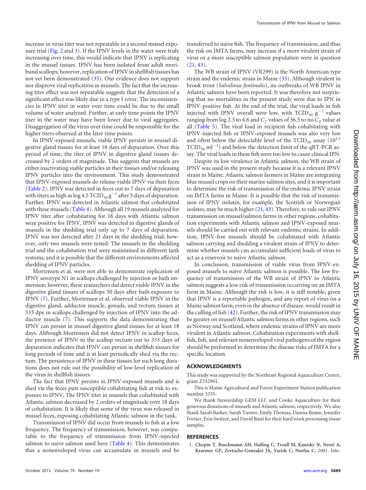increase in virus titer was not repeatable in a second mussel expo-sure trial [\(Fig. 2](#page-4-1) and [3\)](#page-5-0). If the IPNV levels in the water were truly increasing over time, this would indicate that IPNV is replicating in the mussel tissues. IPNV has been isolated from adult moribund scallops; however, replication of IPNV in shellfish tissues has not yet been demonstrated [\(35\)](#page-9-31). Our evidence does not support nor disprove viral replication in mussels. The fact that the increasing titer effect was not repeatable suggests that the detection of a significant effect was likely due to a type I error. The inconsistencies in IPNV titer in water over time could be due to the small volume of water analyzed. Further, at early time points the IPNV titer in the water may have been lower due to viral aggregates. Disaggregation of the virus over time could be responsible for the higher titers observed at the later time points.

In IPNV-exposed mussels, viable IPNV persists in mussel digestive gland tissues for at least 18 days of depuration. Over this period of time, the titer of IPNV in digestive gland tissues decreased by 2 orders of magnitude. This suggests that mussels are either inactivating viable particles in their tissues and/or releasing IPNV particles into the environment. This study demonstrated that IPNV-exposed mussels do release viable IPNV via their feces [\(Table 2\)](#page-5-2). IPNV was detected in feces out to 7 days of depuration with titers as high as  $\log 4.5 \text{ TCID}_{50} \text{ g}^{-1}$  after 5 days of depuration. Further, IPNV was detected in Atlantic salmon that cohabitated with these mussels [\(Table 4\)](#page-6-1). Although all 19 mussels analyzed for IPNV titer after cohabitating for 18 days with Atlantic salmon were positive for IPNV, IPNV was detected in digestive glands of mussels in the shedding trial only up to 7 days of depuration. IPNV was not detected after 21 days in the shedding trial; however, only two mussels were tested. The mussels in the shedding trial and the cohabitation trial were maintained in different tank systems, and it is possible that the different environments affected shedding of IPNV particles.

Mortensen et al. were not able to demonstrate replication of IPNV serotype N1 in scallops challenged by injection or bath immersion; however, these researchers did detect viable IPNV in the digestive gland tissues of scallops 50 days after bath exposure to IPNV [\(7\)](#page-9-8). Further, Mortensen et al. observed viable IPNV in the digestive gland, adductor muscle, gonads, and rectum tissues at 333 dpe in scallops challenged by injection of IPNV into the adductor muscle [\(7\)](#page-9-8). This supports the data demonstrating that IPNV can persist in mussel digestive gland tissues for at least 18 days. Although Mortensen did not detect IPNV in scallop feces, the presence of IPNV in the scallop rectum out to 333 days of depuration indicates that IPNV can persist in shellfish tissues for long periods of time and is at least periodically shed via the rectum. The persistence of IPNV in these tissues for such long durations does not rule out the possibility of low-level replication of the virus in shellfish tissues.

The fact that IPNV persists in IPNV-exposed mussels and is shed via the feces puts susceptible cohabitating fish at risk to exposure to IPNV. The IPNV titer in mussels that cohabitated with Atlantic salmon decreased by 2 orders of magnitude over 18 days of cohabitation. It is likely that some of the virus was released in mussel feces, exposing cohabitating Atlantic salmon in the tank.

Transmission of IPNV did occur from mussels to fish at a low frequency. The frequency of transmission, however, was comparable to the frequency of transmission from IPNV-injected salmon to naive salmon used here [\(Table 4\)](#page-6-1). This demonstrates that a nonenveloped virus can accumulate in mussels and be

transferred to naive fish. The frequency of transmission, and thus the risk on IMTA farms, may increase if a more virulent strain of virus or a more susceptible salmon population were in question  $(21, 43)$  $(21, 43)$  $(21, 43)$ .

The WB strain of IPNV (VR299) is the North American type strain and the endemic strain in Maine [\(33\)](#page-9-29). Although virulent in brook trout (*Salvelinus fontinalis*), no outbreaks of WB IPNV in Atlantic salmon have been reported. It was therefore not surprising that no mortalities in the present study were due to IPN in IPNV-positive fish. At the end of the trial, the viral loads in fish injected with IPNV overall were low, with  $TCID_{50}$   $g^{-1}$  values ranging from  $\log 2.3$  to 4.6 and  $C_T$  values of 36.5 to no  $C_T$  value at all [\(Table 5\)](#page-6-2). The viral load in recipient fish cohabitating with IPNV-injected fish or IPNV-exposed mussels was also very low and often below the detectable level of the TCID<sub>50</sub> assay  $(10^{2.3}$ TCID<sub>50</sub> ml<sup>-1</sup>) and below the detection limit of the qRT-PCR assay. The viral loads in these fish were too low to cause clinical IPN.

Despite its low virulence in Atlantic salmon, the WB strain of IPNV was used in the present study because it is a relevant IPNV strain in Maine. Atlantic salmon farmers in Maine are integrating blue mussel crops on their marine salmon sites, and it is important to determine the risk of transmission of the endemic IPNV strain on IMTA farms in Maine. It is possible that the risk of transmission of IPNV isolates, for example, the Scottish or Norwegian isolates, may be much higher [\(21,](#page-9-17) [43\)](#page-9-38). Therefore, to rule out IPNV transmission on mussel/salmon farms in other regions, cohabitation experiments with Atlantic salmon and IPNV-exposed mussels should be carried out with relevant endemic strains. In addition, IPNV-free mussels should be cohabitated with Atlantic salmon carrying and shedding a virulent strain of IPNV to determine whether mussels can accumulate sufficient loads of virus to act as a reservoir to naive Atlantic salmon.

In conclusion, transmission of viable virus from IPNV-exposed mussels to naive Atlantic salmon is possible. The low frequency of transmission of the WB strain of IPNV to Atlantic salmon suggests a low risk of transmission occurring on an IMTA farm in Maine. Although the risk is low, it is still notable, given that IPNV is a reportable pathogen, and any report of virus on a Maine salmon farm, even in the absence of disease, would result in the culling of fish [\(42\)](#page-9-39). Further, the risk of IPNV transmission may be greater on mussel/Atlantic salmon farms in other regions, such as Norway and Scotland, where endemic strains of IPNV are more virulent in Atlantic salmon. Cohabitation experiments with shellfish, fish, and relevant nonenveloped viral pathogens of the region should be performed to determine the disease risks of IMTA for a specific location.

## **ACKNOWLEDGMENTS**

This study was supported by the Northeast Regional Aquaculture Center, grant Z532901.

This is Maine Agricultural and Forest Experiment Station publication number 3335.

We thank Stewardship GEM LLC and Cooke Aquaculture for their generous donations of mussels and Atlantic salmon, respectively. We also thank Sarah Barker, Sarah Turner, Emily Thomas, Dawna Beane, Jennifer Fortier, Erin Switzer, and David Basti for their hard work processing tissue samples.

## <span id="page-8-0"></span>**REFERENCES**

1. **Chopin T, Buschmann AH, Halling C, Troell M, Kautsky N, Neori A, Kraemer GP, Zertuche-Gonzalez JA, Yarish C, Neefus C.** 2001. Inte